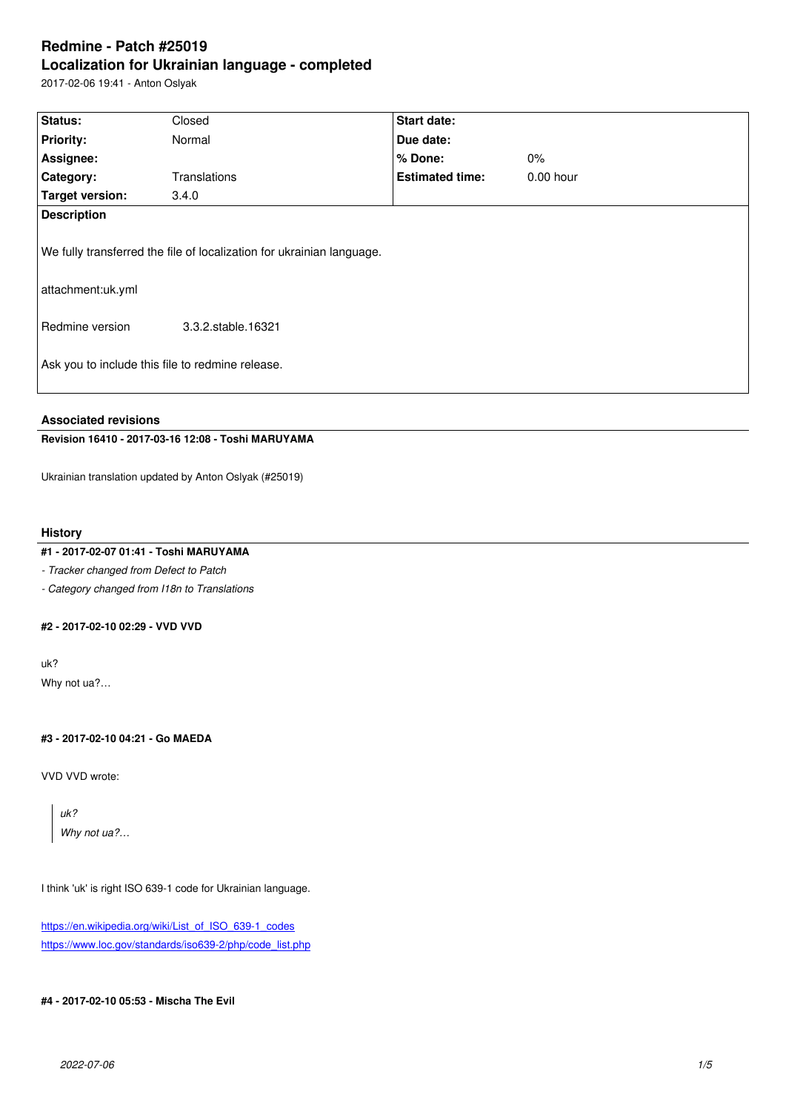#### **Localization for Ukrainian language - completed**

2017-02-06 19:41 - Anton Oslyak

| Status:                                                    | Closed                                                                                      | Start date:            |             |  |  |
|------------------------------------------------------------|---------------------------------------------------------------------------------------------|------------------------|-------------|--|--|
| <b>Priority:</b>                                           | Normal                                                                                      | Due date:              |             |  |  |
| Assignee:                                                  |                                                                                             | $%$ Done:              | $0\%$       |  |  |
| Category:                                                  | Translations                                                                                | <b>Estimated time:</b> | $0.00$ hour |  |  |
| <b>Target version:</b>                                     | 3.4.0                                                                                       |                        |             |  |  |
| <b>Description</b><br>attachment:uk.yml<br>Redmine version | We fully transferred the file of localization for ukrainian language.<br>3.3.2.stable.16321 |                        |             |  |  |
| Ask you to include this file to redmine release.           |                                                                                             |                        |             |  |  |

### **Associated revisions**

## **Revision 16410 - 2017-03-16 12:08 - Toshi MARUYAMA**

Ukrainian translation updated by Anton Oslyak (#25019)

#### **History**

## **#1 - 2017-02-07 01:41 - Toshi MARUYAMA**

*- Tracker changed from Defect to Patch*

*- Category changed from I18n to Translations*

# **#2 - 2017-02-10 02:29 - VVD VVD**

uk? Why not ua?…

## **#3 - 2017-02-10 04:21 - Go MAEDA**

VVD VVD wrote:

*uk? Why not ua?…*

I think 'uk' is right ISO 639-1 code for Ukrainian language.

https://en.wikipedia.org/wiki/List\_of\_ISO\_639-1\_codes https://www.loc.gov/standards/iso639-2/php/code\_list.php

#### **[#4 - 2017-02-10 05:53 - Mischa The Evil](https://en.wikipedia.org/wiki/List_of_ISO_639-1_codes)**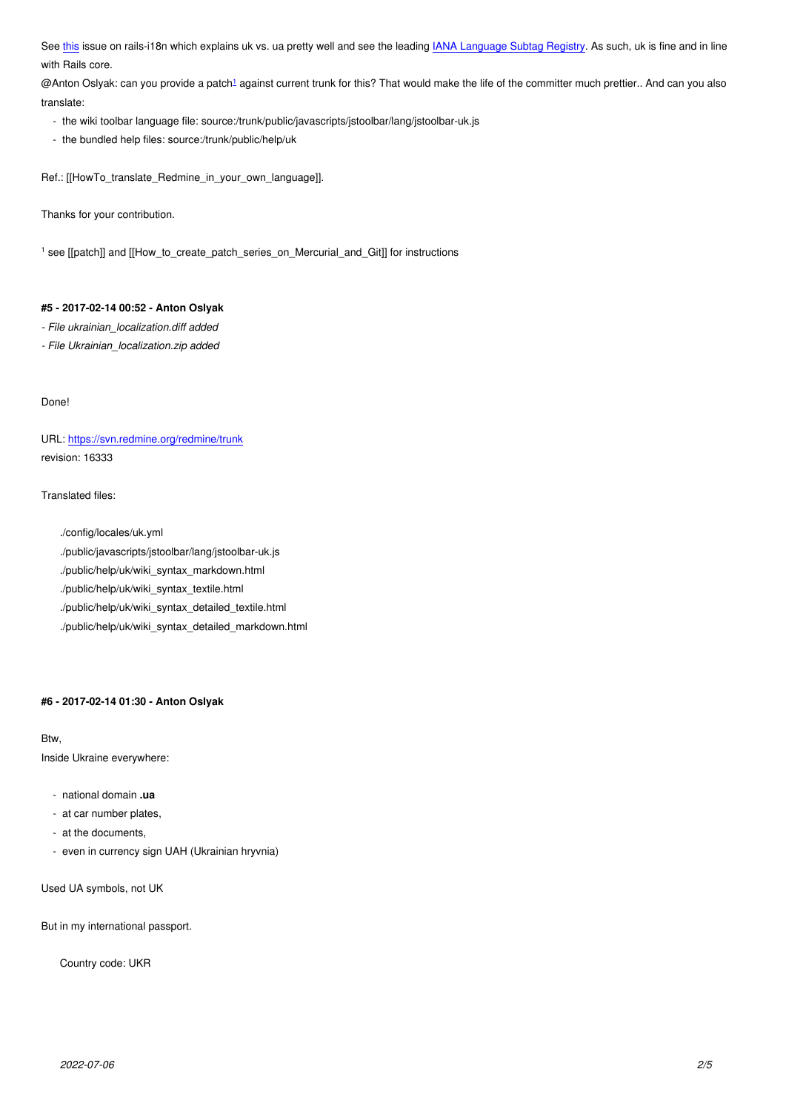with Figure core.

@Anton Oslyak: can you provide a patch1 against current trunk for this? That would make the life of the committer much prettier.. And can you also translate:

- [the](https://github.com/svenfuchs/rails-i18n/issues/285) wiki toolbar language file: source:/trunk/public/javascripts/jstoolbar/lang/jsto[olbar-uk.js](http://www.iana.org/assignments/language-subtag-registry/language-subtag-registry)
- the bundled help files: source:/trunk/[p](#fn1)ublic/help/uk

Ref.: [[HowTo\_translate\_Redmine\_in\_your\_own\_language]].

Thanks for your contribution.

1 see [[patch]] and [[How\_to\_create\_patch\_series\_on\_Mercurial\_and\_Git]] for instructions

## **#5 - 2017-02-14 00:52 - Anton Oslyak**

*- File ukrainian\_localization.diff added*

*- File Ukrainian\_localization.zip added*

Done!

URL: https://svn.redmine.org/redmine/trunk revision: 16333

Trans[lated files:](https://svn.redmine.org/redmine/trunk)

./config/locales/uk.yml

- ./public/javascripts/jstoolbar/lang/jstoolbar-uk.js
- ./public/help/uk/wiki\_syntax\_markdown.html
- ./public/help/uk/wiki\_syntax\_textile.html
- ./public/help/uk/wiki\_syntax\_detailed\_textile.html
- ./public/help/uk/wiki\_syntax\_detailed\_markdown.html

#### **#6 - 2017-02-14 01:30 - Anton Oslyak**

#### Btw,

Inside Ukraine everywhere:

- national domain **.ua**
- at car number plates,
- at the documents,
- even in currency sign UAH (Ukrainian hryvnia)

Used UA symbols, not UK

But in my international passport.

Country code: UKR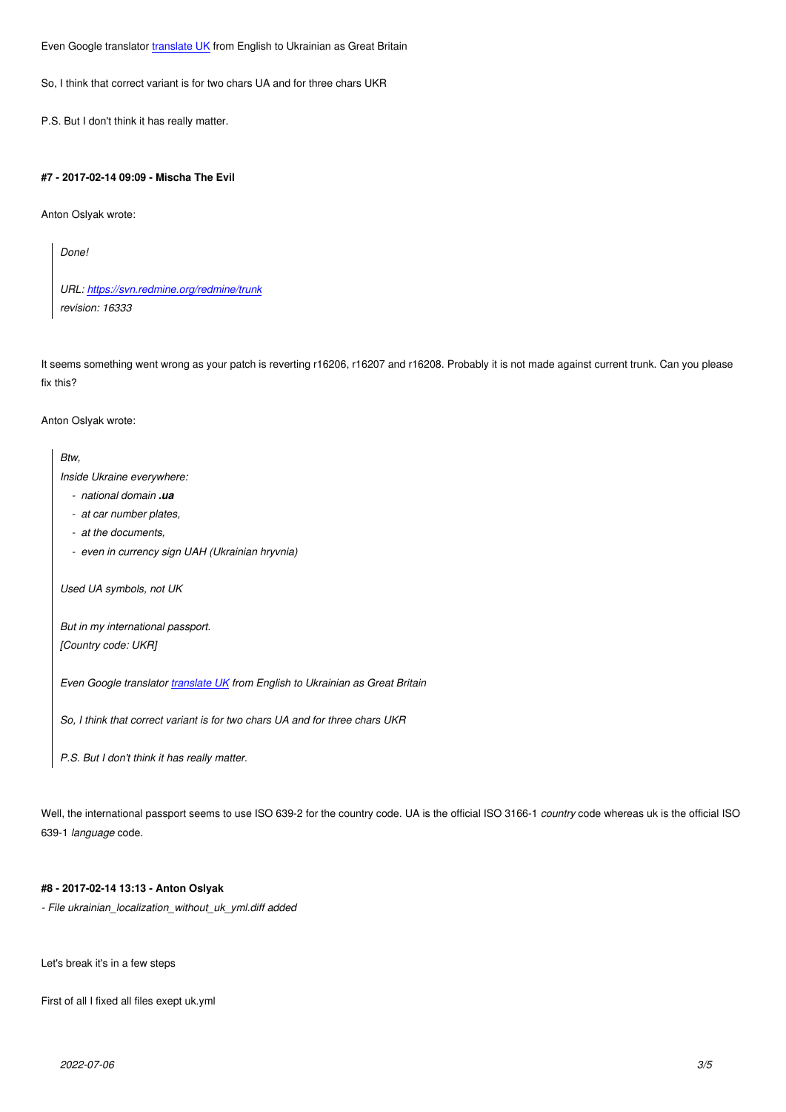So, I think that correct variant is for two chars UA and for three chars UKR

P.S. But I don't think it [has really ma](https://translate.google.com/?prev=_t&hl=ru&ie=UTF-8&eotf=1&text=&sl=en&tl=ru#en/uk/UK)tter.

## **#7 - 2017-02-14 09:09 - Mischa The Evil**

Anton Oslyak wrote:

*Done!*

*URL: https://svn.redmine.org/redmine/trunk revision: 16333*

It seems [something went wrong as your patch is](https://svn.redmine.org/redmine/trunk) reverting r16206, r16207 and r16208. Probably it is not made against current trunk. Can you please fix this?

Anton Oslyak wrote:

*Btw,*

*Inside Ukraine everywhere:*

- *national domain .ua*
- *at car number plates,*
- *at the documents,*
- *even in currency sign UAH (Ukrainian hryvnia)*

*Used UA symbols, not UK*

*But in my international passport. [Country code: UKR]*

*Even Google translator translate UK from English to Ukrainian as Great Britain*

*So, I think that correct variant is for two chars UA and for three chars UKR*

*P.S. But I don't think it [has really ma](https://translate.google.com/?prev=_t&hl=ru&ie=UTF-8&eotf=1&text=&sl=en&tl=ru#en/uk/UK)tter.*

Well, the international passport seems to use ISO 639-2 for the country code. UA is the official ISO 3166-1 *country* code whereas uk is the official ISO 639-1 *language* code.

## **#8 - 2017-02-14 13:13 - Anton Oslyak**

*- File ukrainian\_localization\_without\_uk\_yml.diff added*

Let's break it's in a few steps

First of all I fixed all files exept uk.yml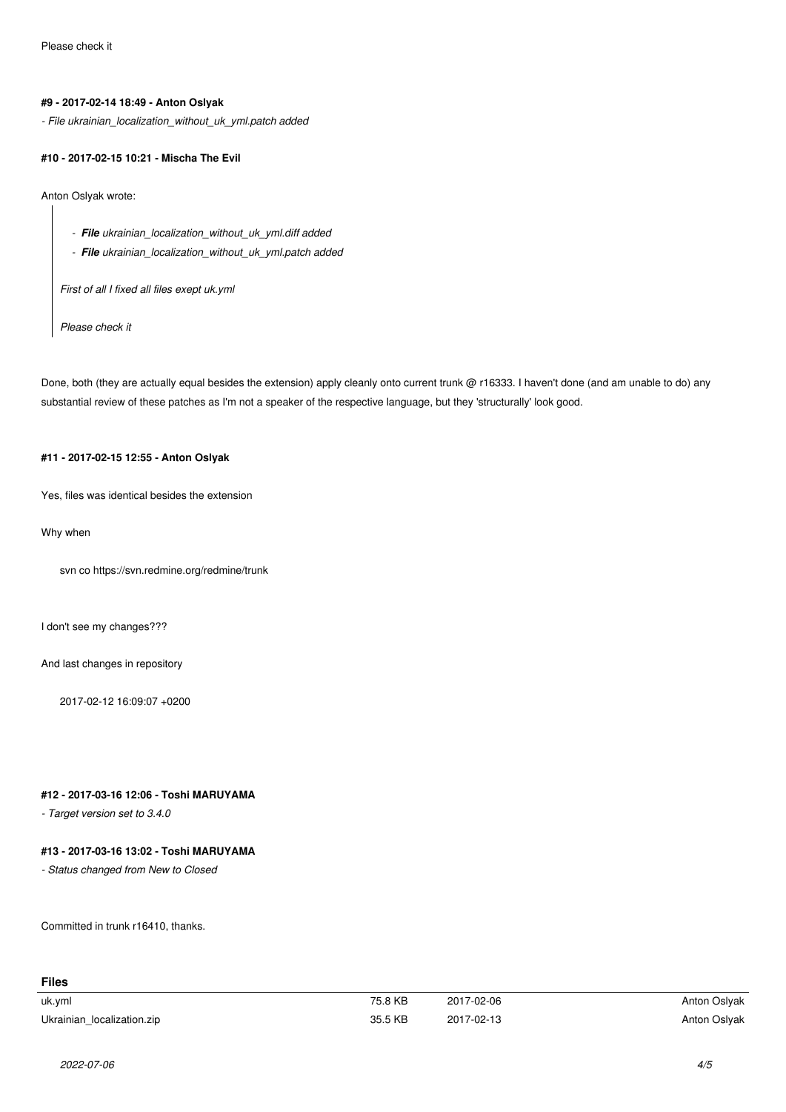## **#9 - 2017-02-14 18:49 - Anton Oslyak**

*- File ukrainian\_localization\_without\_uk\_yml.patch added*

#### **#10 - 2017-02-15 10:21 - Mischa The Evil**

Anton Oslyak wrote:

- *File ukrainian\_localization\_without\_uk\_yml.diff added*
- *File ukrainian\_localization\_without\_uk\_yml.patch added*

*First of all I fixed all files exept uk.yml*

*Please check it*

Done, both (they are actually equal besides the extension) apply cleanly onto current trunk @ r16333. I haven't done (and am unable to do) any substantial review of these patches as I'm not a speaker of the respective language, but they 'structurally' look good.

## **#11 - 2017-02-15 12:55 - Anton Oslyak**

Yes, files was identical besides the extension

Why when

svn co https://svn.redmine.org/redmine/trunk

I don't see my changes???

And last changes in repository

2017-02-12 16:09:07 +0200

## **#12 - 2017-03-16 12:06 - Toshi MARUYAMA**

*- Target version set to 3.4.0*

## **#13 - 2017-03-16 13:02 - Toshi MARUYAMA**

*- Status changed from New to Closed*

Committed in trunk r16410, thanks.

| <b>Files</b>               |         |            |              |
|----------------------------|---------|------------|--------------|
| uk.yml                     | 75.8 KB | 2017-02-06 | Anton Oslyak |
| Ukrainian localization.zip | 35.5 KB | 2017-02-13 | Anton Oslyak |